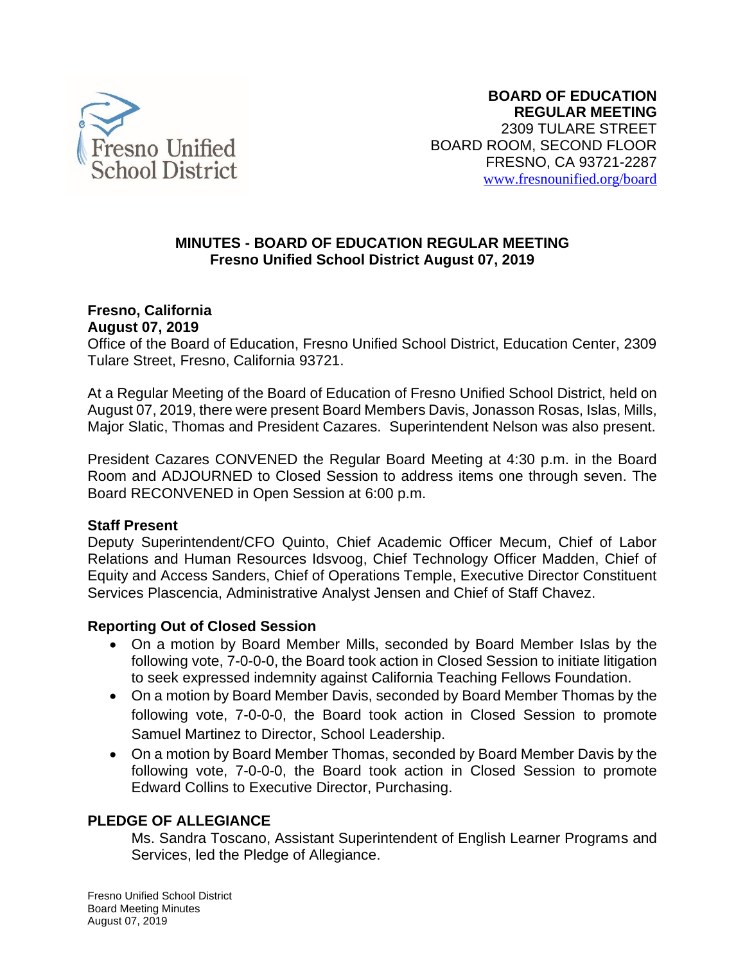

# **MINUTES - BOARD OF EDUCATION REGULAR MEETING Fresno Unified School District August 07, 2019**

#### **Fresno, California August 07, 2019**

Office of the Board of Education, Fresno Unified School District, Education Center, 2309 Tulare Street, Fresno, California 93721.

At a Regular Meeting of the Board of Education of Fresno Unified School District, held on August 07, 2019, there were present Board Members Davis, Jonasson Rosas, Islas, Mills, Major Slatic, Thomas and President Cazares. Superintendent Nelson was also present.

President Cazares CONVENED the Regular Board Meeting at 4:30 p.m. in the Board Room and ADJOURNED to Closed Session to address items one through seven. The Board RECONVENED in Open Session at 6:00 p.m.

# **Staff Present**

Deputy Superintendent/CFO Quinto, Chief Academic Officer Mecum, Chief of Labor Relations and Human Resources Idsvoog, Chief Technology Officer Madden, Chief of Equity and Access Sanders, Chief of Operations Temple, Executive Director Constituent Services Plascencia, Administrative Analyst Jensen and Chief of Staff Chavez.

# **Reporting Out of Closed Session**

- On a motion by Board Member Mills, seconded by Board Member Islas by the following vote, 7-0-0-0, the Board took action in Closed Session to initiate litigation to seek expressed indemnity against California Teaching Fellows Foundation.
- On a motion by Board Member Davis, seconded by Board Member Thomas by the following vote, 7-0-0-0, the Board took action in Closed Session to promote Samuel Martinez to Director, School Leadership.
- On a motion by Board Member Thomas, seconded by Board Member Davis by the following vote, 7-0-0-0, the Board took action in Closed Session to promote Edward Collins to Executive Director, Purchasing.

# **PLEDGE OF ALLEGIANCE**

Ms. Sandra Toscano, Assistant Superintendent of English Learner Programs and Services, led the Pledge of Allegiance.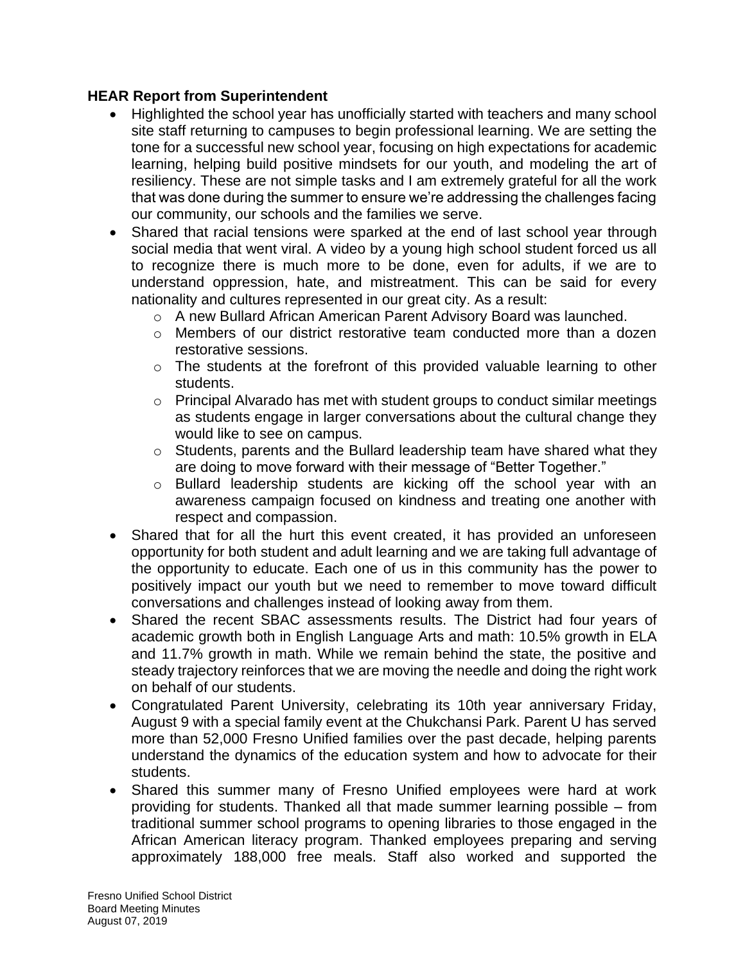# **HEAR Report from Superintendent**

- Highlighted the school year has unofficially started with teachers and many school site staff returning to campuses to begin professional learning. We are setting the tone for a successful new school year, focusing on high expectations for academic learning, helping build positive mindsets for our youth, and modeling the art of resiliency. These are not simple tasks and I am extremely grateful for all the work that was done during the summer to ensure we're addressing the challenges facing our community, our schools and the families we serve.
- Shared that racial tensions were sparked at the end of last school year through social media that went viral. A video by a young high school student forced us all to recognize there is much more to be done, even for adults, if we are to understand oppression, hate, and mistreatment. This can be said for every nationality and cultures represented in our great city. As a result:
	- o A new Bullard African American Parent Advisory Board was launched.
	- $\circ$  Members of our district restorative team conducted more than a dozen restorative sessions.
	- $\circ$  The students at the forefront of this provided valuable learning to other students.
	- $\circ$  Principal Alvarado has met with student groups to conduct similar meetings as students engage in larger conversations about the cultural change they would like to see on campus.
	- o Students, parents and the Bullard leadership team have shared what they are doing to move forward with their message of "Better Together."
	- o Bullard leadership students are kicking off the school year with an awareness campaign focused on kindness and treating one another with respect and compassion.
- Shared that for all the hurt this event created, it has provided an unforeseen opportunity for both student and adult learning and we are taking full advantage of the opportunity to educate. Each one of us in this community has the power to positively impact our youth but we need to remember to move toward difficult conversations and challenges instead of looking away from them.
- Shared the recent SBAC assessments results. The District had four years of academic growth both in English Language Arts and math: 10.5% growth in ELA and 11.7% growth in math. While we remain behind the state, the positive and steady trajectory reinforces that we are moving the needle and doing the right work on behalf of our students.
- Congratulated Parent University, celebrating its 10th year anniversary Friday, August 9 with a special family event at the Chukchansi Park. Parent U has served more than 52,000 Fresno Unified families over the past decade, helping parents understand the dynamics of the education system and how to advocate for their students.
- Shared this summer many of Fresno Unified employees were hard at work providing for students. Thanked all that made summer learning possible – from traditional summer school programs to opening libraries to those engaged in the African American literacy program. Thanked employees preparing and serving approximately 188,000 free meals. Staff also worked and supported the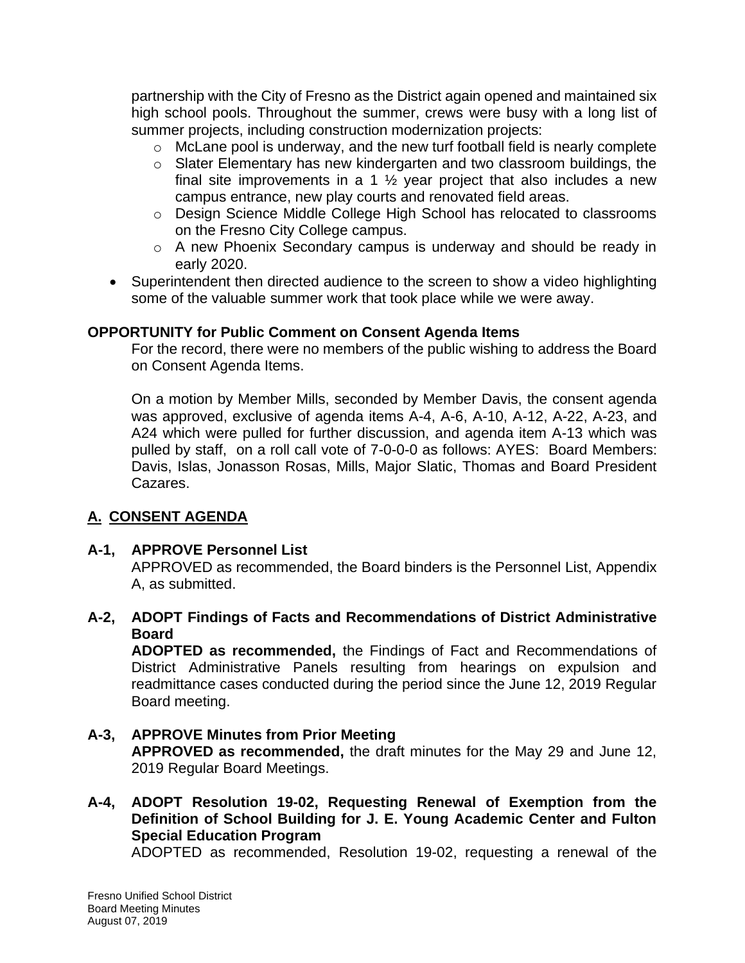partnership with the City of Fresno as the District again opened and maintained six high school pools. Throughout the summer, crews were busy with a long list of summer projects, including construction modernization projects:

- o McLane pool is underway, and the new turf football field is nearly complete
- o Slater Elementary has new kindergarten and two classroom buildings, the final site improvements in a 1  $\frac{1}{2}$  year project that also includes a new campus entrance, new play courts and renovated field areas.
- o Design Science Middle College High School has relocated to classrooms on the Fresno City College campus.
- o A new Phoenix Secondary campus is underway and should be ready in early 2020.
- Superintendent then directed audience to the screen to show a video highlighting some of the valuable summer work that took place while we were away.

#### **OPPORTUNITY for Public Comment on Consent Agenda Items**

For the record, there were no members of the public wishing to address the Board on Consent Agenda Items.

On a motion by Member Mills, seconded by Member Davis, the consent agenda was approved, exclusive of agenda items A-4, A-6, A-10, A-12, A-22, A-23, and A24 which were pulled for further discussion, and agenda item A-13 which was pulled by staff, on a roll call vote of 7-0-0-0 as follows: AYES: Board Members: Davis, Islas, Jonasson Rosas, Mills, Major Slatic, Thomas and Board President Cazares.

# **A. CONSENT AGENDA**

# **A-1, APPROVE Personnel List**

APPROVED as recommended, the Board binders is the Personnel List, Appendix A, as submitted.

**A-2, ADOPT Findings of Facts and Recommendations of District Administrative Board**

**ADOPTED as recommended,** the Findings of Fact and Recommendations of District Administrative Panels resulting from hearings on expulsion and readmittance cases conducted during the period since the June 12, 2019 Regular Board meeting.

- **A-3, APPROVE Minutes from Prior Meeting APPROVED as recommended,** the draft minutes for the May 29 and June 12, 2019 Regular Board Meetings.
- **A-4, ADOPT Resolution 19-02, Requesting Renewal of Exemption from the Definition of School Building for J. E. Young Academic Center and Fulton Special Education Program**

ADOPTED as recommended, Resolution 19-02, requesting a renewal of the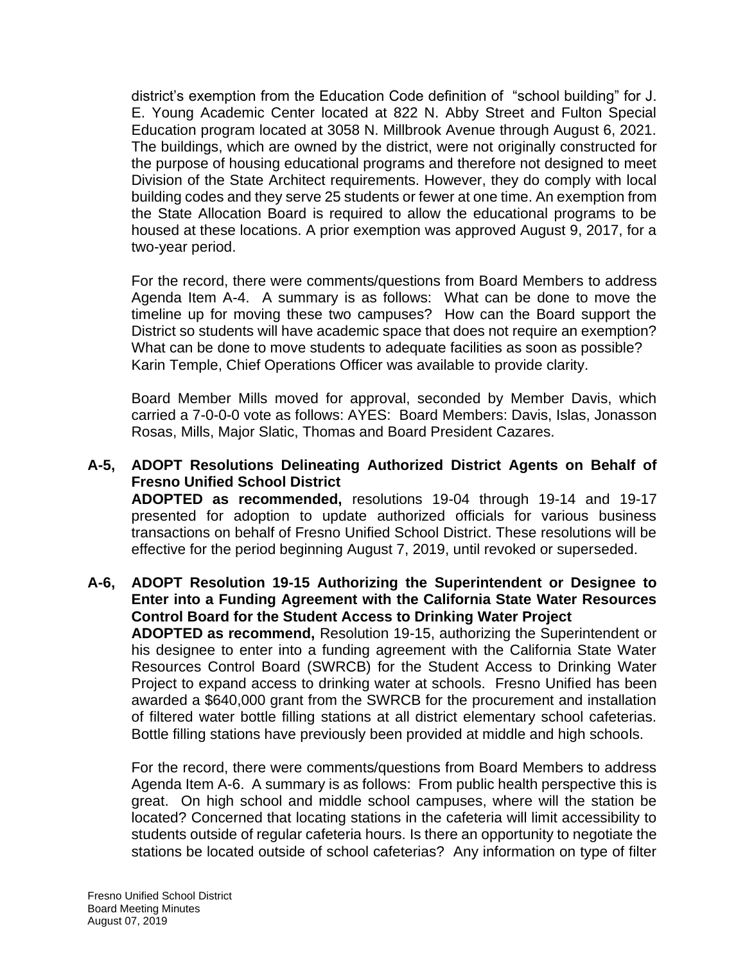district's exemption from the Education Code definition of "school building" for J. E. Young Academic Center located at 822 N. Abby Street and Fulton Special Education program located at 3058 N. Millbrook Avenue through August 6, 2021. The buildings, which are owned by the district, were not originally constructed for the purpose of housing educational programs and therefore not designed to meet Division of the State Architect requirements. However, they do comply with local building codes and they serve 25 students or fewer at one time. An exemption from the State Allocation Board is required to allow the educational programs to be housed at these locations. A prior exemption was approved August 9, 2017, for a two-year period.

For the record, there were comments/questions from Board Members to address Agenda Item A-4. A summary is as follows: What can be done to move the timeline up for moving these two campuses? How can the Board support the District so students will have academic space that does not require an exemption? What can be done to move students to adequate facilities as soon as possible? Karin Temple, Chief Operations Officer was available to provide clarity.

Board Member Mills moved for approval, seconded by Member Davis, which carried a 7-0-0-0 vote as follows: AYES: Board Members: Davis, Islas, Jonasson Rosas, Mills, Major Slatic, Thomas and Board President Cazares.

# **A-5, ADOPT Resolutions Delineating Authorized District Agents on Behalf of Fresno Unified School District**

**ADOPTED as recommended,** resolutions 19-04 through 19-14 and 19-17 presented for adoption to update authorized officials for various business transactions on behalf of Fresno Unified School District. These resolutions will be effective for the period beginning August 7, 2019, until revoked or superseded.

#### **A-6, ADOPT Resolution 19-15 Authorizing the Superintendent or Designee to Enter into a Funding Agreement with the California State Water Resources Control Board for the Student Access to Drinking Water Project**

**ADOPTED as recommend,** Resolution 19-15, authorizing the Superintendent or his designee to enter into a funding agreement with the California State Water Resources Control Board (SWRCB) for the Student Access to Drinking Water Project to expand access to drinking water at schools. Fresno Unified has been awarded a \$640,000 grant from the SWRCB for the procurement and installation of filtered water bottle filling stations at all district elementary school cafeterias. Bottle filling stations have previously been provided at middle and high schools.

For the record, there were comments/questions from Board Members to address Agenda Item A-6. A summary is as follows: From public health perspective this is great. On high school and middle school campuses, where will the station be located? Concerned that locating stations in the cafeteria will limit accessibility to students outside of regular cafeteria hours. Is there an opportunity to negotiate the stations be located outside of school cafeterias? Any information on type of filter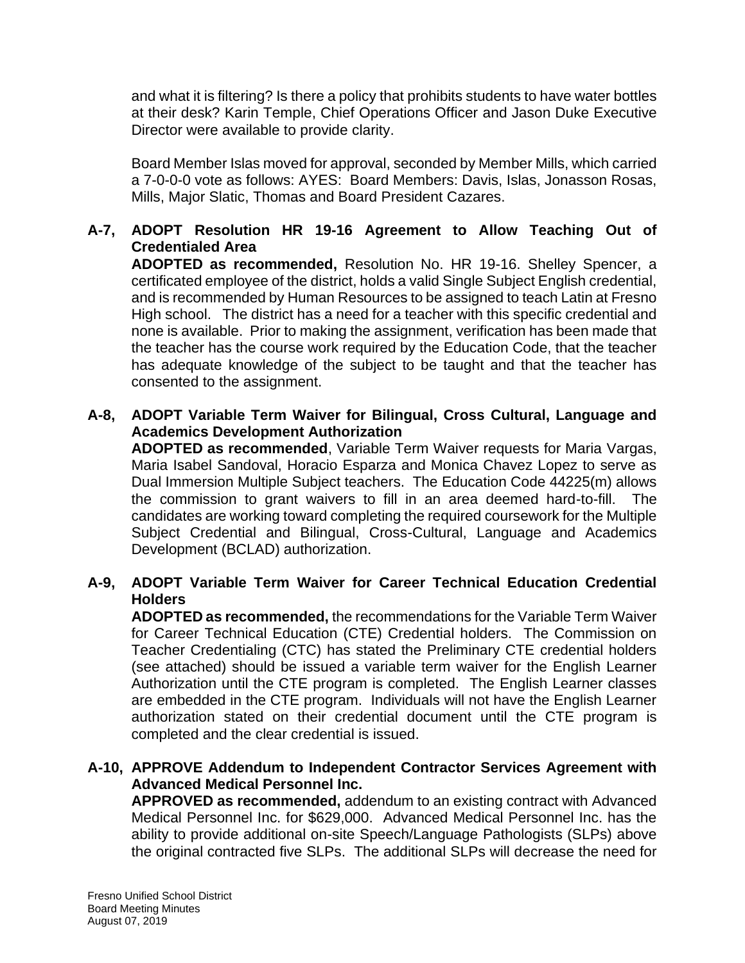and what it is filtering? Is there a policy that prohibits students to have water bottles at their desk? Karin Temple, Chief Operations Officer and Jason Duke Executive Director were available to provide clarity.

Board Member Islas moved for approval, seconded by Member Mills, which carried a 7-0-0-0 vote as follows: AYES: Board Members: Davis, Islas, Jonasson Rosas, Mills, Major Slatic, Thomas and Board President Cazares.

# **A-7, ADOPT Resolution HR 19-16 Agreement to Allow Teaching Out of Credentialed Area**

**ADOPTED as recommended,** Resolution No. HR 19-16. Shelley Spencer, a certificated employee of the district, holds a valid Single Subject English credential, and is recommended by Human Resources to be assigned to teach Latin at Fresno High school. The district has a need for a teacher with this specific credential and none is available. Prior to making the assignment, verification has been made that the teacher has the course work required by the Education Code, that the teacher has adequate knowledge of the subject to be taught and that the teacher has consented to the assignment.

### **A-8, ADOPT Variable Term Waiver for Bilingual, Cross Cultural, Language and Academics Development Authorization**

**ADOPTED as recommended**, Variable Term Waiver requests for Maria Vargas, Maria Isabel Sandoval, Horacio Esparza and Monica Chavez Lopez to serve as Dual Immersion Multiple Subject teachers. The Education Code 44225(m) allows the commission to grant waivers to fill in an area deemed hard-to-fill. The candidates are working toward completing the required coursework for the Multiple Subject Credential and Bilingual, Cross-Cultural, Language and Academics Development (BCLAD) authorization.

# **A-9, ADOPT Variable Term Waiver for Career Technical Education Credential Holders**

**ADOPTED as recommended,** the recommendations for the Variable Term Waiver for Career Technical Education (CTE) Credential holders. The Commission on Teacher Credentialing (CTC) has stated the Preliminary CTE credential holders (see attached) should be issued a variable term waiver for the English Learner Authorization until the CTE program is completed. The English Learner classes are embedded in the CTE program. Individuals will not have the English Learner authorization stated on their credential document until the CTE program is completed and the clear credential is issued.

#### **A-10, APPROVE Addendum to Independent Contractor Services Agreement with Advanced Medical Personnel Inc.**

**APPROVED as recommended,** addendum to an existing contract with Advanced Medical Personnel Inc. for \$629,000. Advanced Medical Personnel Inc. has the ability to provide additional on-site Speech/Language Pathologists (SLPs) above the original contracted five SLPs. The additional SLPs will decrease the need for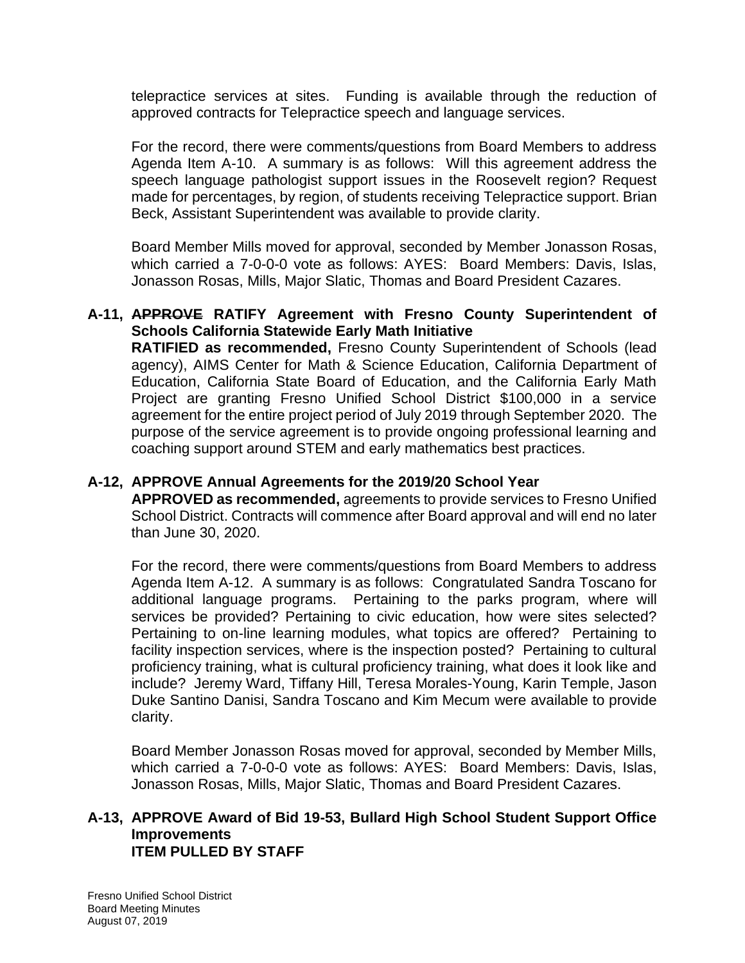telepractice services at sites. Funding is available through the reduction of approved contracts for Telepractice speech and language services.

For the record, there were comments/questions from Board Members to address Agenda Item A-10. A summary is as follows: Will this agreement address the speech language pathologist support issues in the Roosevelt region? Request made for percentages, by region, of students receiving Telepractice support. Brian Beck, Assistant Superintendent was available to provide clarity.

Board Member Mills moved for approval, seconded by Member Jonasson Rosas, which carried a 7-0-0-0 vote as follows: AYES: Board Members: Davis, Islas, Jonasson Rosas, Mills, Major Slatic, Thomas and Board President Cazares.

### **A-11, APPROVE RATIFY Agreement with Fresno County Superintendent of Schools California Statewide Early Math Initiative**

**RATIFIED as recommended,** Fresno County Superintendent of Schools (lead agency), AIMS Center for Math & Science Education, California Department of Education, California State Board of Education, and the California Early Math Project are granting Fresno Unified School District \$100,000 in a service agreement for the entire project period of July 2019 through September 2020. The purpose of the service agreement is to provide ongoing professional learning and coaching support around STEM and early mathematics best practices.

### **A-12, APPROVE Annual Agreements for the 2019/20 School Year**

**APPROVED as recommended,** agreements to provide services to Fresno Unified School District. Contracts will commence after Board approval and will end no later than June 30, 2020.

For the record, there were comments/questions from Board Members to address Agenda Item A-12. A summary is as follows: Congratulated Sandra Toscano for additional language programs. Pertaining to the parks program, where will services be provided? Pertaining to civic education, how were sites selected? Pertaining to on-line learning modules, what topics are offered? Pertaining to facility inspection services, where is the inspection posted? Pertaining to cultural proficiency training, what is cultural proficiency training, what does it look like and include? Jeremy Ward, Tiffany Hill, Teresa Morales-Young, Karin Temple, Jason Duke Santino Danisi, Sandra Toscano and Kim Mecum were available to provide clarity.

Board Member Jonasson Rosas moved for approval, seconded by Member Mills, which carried a 7-0-0-0 vote as follows: AYES: Board Members: Davis, Islas, Jonasson Rosas, Mills, Major Slatic, Thomas and Board President Cazares.

#### **A-13, APPROVE Award of Bid 19-53, Bullard High School Student Support Office Improvements ITEM PULLED BY STAFF**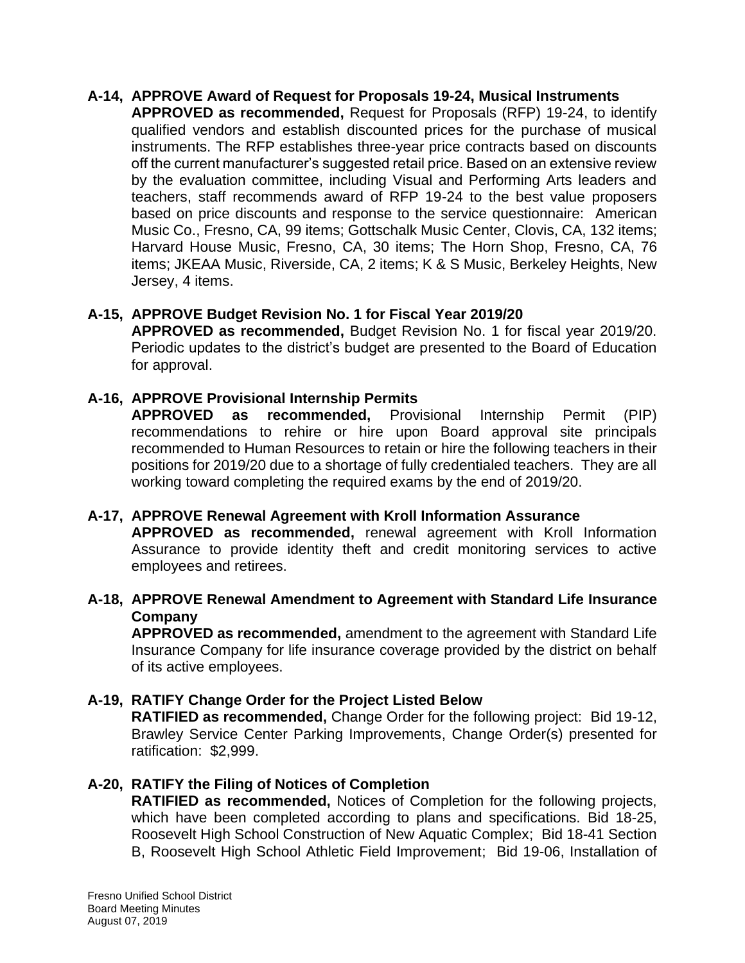#### **A-14, APPROVE Award of Request for Proposals 19-24, Musical Instruments**

**APPROVED as recommended,** Request for Proposals (RFP) 19-24, to identify qualified vendors and establish discounted prices for the purchase of musical instruments. The RFP establishes three-year price contracts based on discounts off the current manufacturer's suggested retail price. Based on an extensive review by the evaluation committee, including Visual and Performing Arts leaders and teachers, staff recommends award of RFP 19-24 to the best value proposers based on price discounts and response to the service questionnaire: American Music Co., Fresno, CA, 99 items; Gottschalk Music Center, Clovis, CA, 132 items; Harvard House Music, Fresno, CA, 30 items; The Horn Shop, Fresno, CA, 76 items; JKEAA Music, Riverside, CA, 2 items; K & S Music, Berkeley Heights, New Jersey, 4 items.

#### **A-15, APPROVE Budget Revision No. 1 for Fiscal Year 2019/20**

**APPROVED as recommended,** Budget Revision No. 1 for fiscal year 2019/20. Periodic updates to the district's budget are presented to the Board of Education for approval.

#### **A-16, APPROVE Provisional Internship Permits**

**APPROVED as recommended,** Provisional Internship Permit (PIP) recommendations to rehire or hire upon Board approval site principals recommended to Human Resources to retain or hire the following teachers in their positions for 2019/20 due to a shortage of fully credentialed teachers. They are all working toward completing the required exams by the end of 2019/20.

#### **A-17, APPROVE Renewal Agreement with Kroll Information Assurance**

**APPROVED as recommended,** renewal agreement with Kroll Information Assurance to provide identity theft and credit monitoring services to active employees and retirees.

#### **A-18, APPROVE Renewal Amendment to Agreement with Standard Life Insurance Company**

**APPROVED as recommended,** amendment to the agreement with Standard Life Insurance Company for life insurance coverage provided by the district on behalf of its active employees.

#### **A-19, RATIFY Change Order for the Project Listed Below**

**RATIFIED as recommended,** Change Order for the following project: Bid 19-12, Brawley Service Center Parking Improvements, Change Order(s) presented for ratification: \$2,999.

#### **A-20, RATIFY the Filing of Notices of Completion**

**RATIFIED as recommended,** Notices of Completion for the following projects, which have been completed according to plans and specifications. Bid 18-25, Roosevelt High School Construction of New Aquatic Complex; Bid 18-41 Section B, Roosevelt High School Athletic Field Improvement; Bid 19-06, Installation of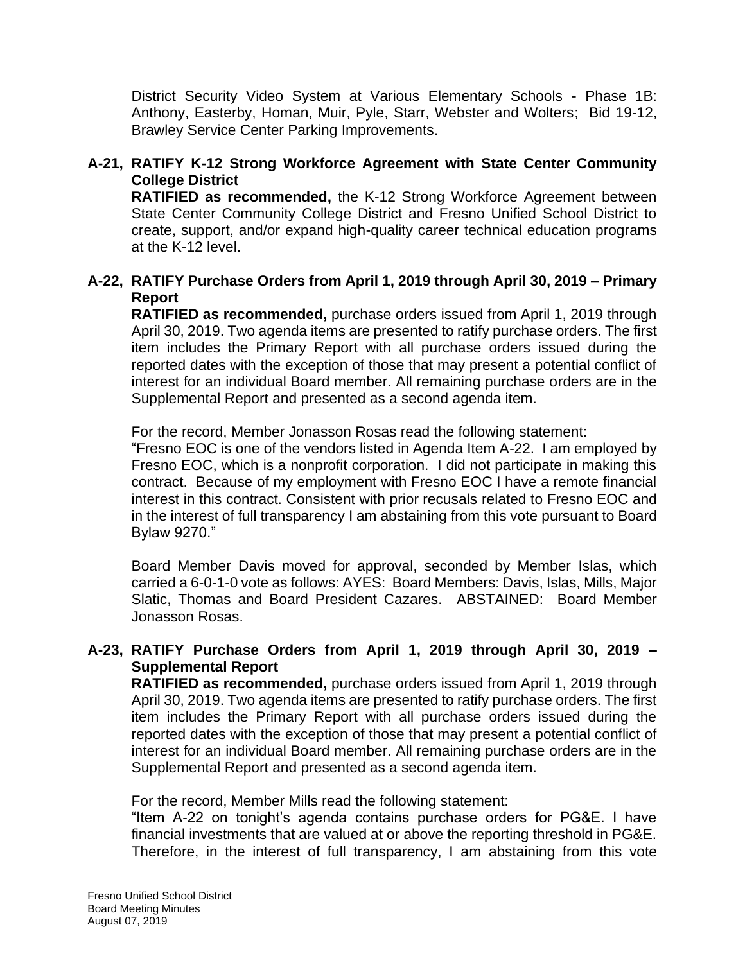District Security Video System at Various Elementary Schools - Phase 1B: Anthony, Easterby, Homan, Muir, Pyle, Starr, Webster and Wolters; Bid 19-12, Brawley Service Center Parking Improvements.

# **A-21, RATIFY K-12 Strong Workforce Agreement with State Center Community College District**

**RATIFIED as recommended,** the K-12 Strong Workforce Agreement between State Center Community College District and Fresno Unified School District to create, support, and/or expand high-quality career technical education programs at the K-12 level.

### **A-22, RATIFY Purchase Orders from April 1, 2019 through April 30, 2019 – Primary Report**

**RATIFIED as recommended,** purchase orders issued from April 1, 2019 through April 30, 2019. Two agenda items are presented to ratify purchase orders. The first item includes the Primary Report with all purchase orders issued during the reported dates with the exception of those that may present a potential conflict of interest for an individual Board member. All remaining purchase orders are in the Supplemental Report and presented as a second agenda item.

For the record, Member Jonasson Rosas read the following statement:

"Fresno EOC is one of the vendors listed in Agenda Item A-22. I am employed by Fresno EOC, which is a nonprofit corporation. I did not participate in making this contract. Because of my employment with Fresno EOC I have a remote financial interest in this contract. Consistent with prior recusals related to Fresno EOC and in the interest of full transparency I am abstaining from this vote pursuant to Board Bylaw 9270."

Board Member Davis moved for approval, seconded by Member Islas, which carried a 6-0-1-0 vote as follows: AYES: Board Members: Davis, Islas, Mills, Major Slatic, Thomas and Board President Cazares. ABSTAINED: Board Member Jonasson Rosas.

# **A-23, RATIFY Purchase Orders from April 1, 2019 through April 30, 2019 – Supplemental Report**

**RATIFIED as recommended,** purchase orders issued from April 1, 2019 through April 30, 2019. Two agenda items are presented to ratify purchase orders. The first item includes the Primary Report with all purchase orders issued during the reported dates with the exception of those that may present a potential conflict of interest for an individual Board member. All remaining purchase orders are in the Supplemental Report and presented as a second agenda item.

For the record, Member Mills read the following statement:

"Item A-22 on tonight's agenda contains purchase orders for PG&E. I have financial investments that are valued at or above the reporting threshold in PG&E. Therefore, in the interest of full transparency, I am abstaining from this vote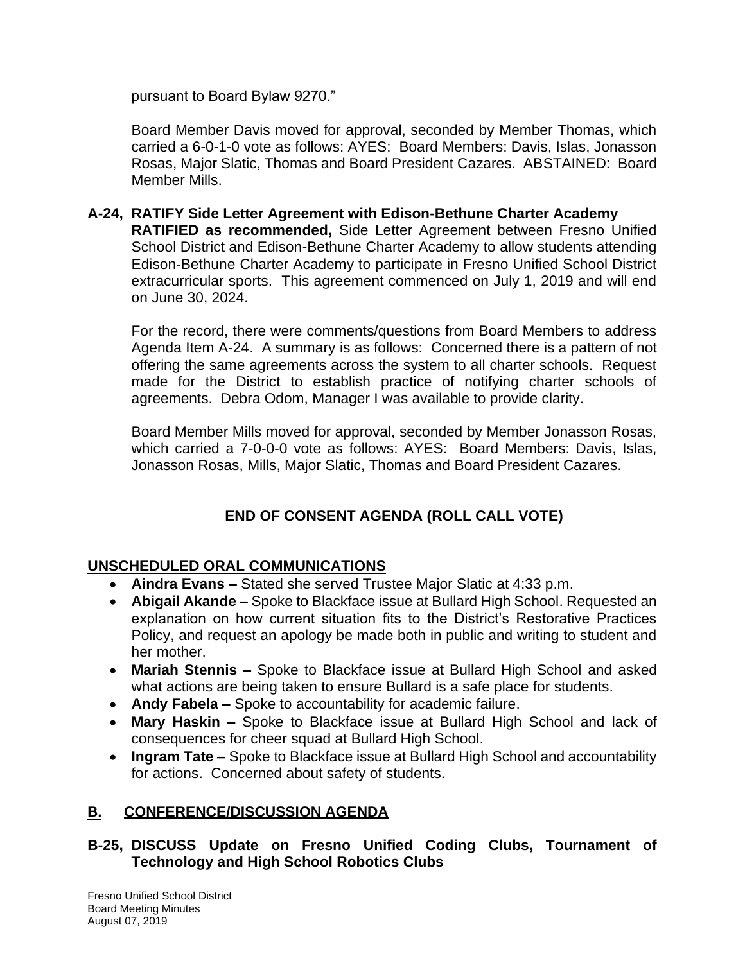pursuant to Board Bylaw 9270."

Board Member Davis moved for approval, seconded by Member Thomas, which carried a 6-0-1-0 vote as follows: AYES: Board Members: Davis, Islas, Jonasson Rosas, Major Slatic, Thomas and Board President Cazares. ABSTAINED: Board Member Mills.

**A-24, RATIFY Side Letter Agreement with Edison-Bethune Charter Academy RATIFIED as recommended,** Side Letter Agreement between Fresno Unified School District and Edison-Bethune Charter Academy to allow students attending Edison-Bethune Charter Academy to participate in Fresno Unified School District extracurricular sports. This agreement commenced on July 1, 2019 and will end on June 30, 2024.

For the record, there were comments/questions from Board Members to address Agenda Item A-24. A summary is as follows: Concerned there is a pattern of not offering the same agreements across the system to all charter schools. Request made for the District to establish practice of notifying charter schools of agreements. Debra Odom, Manager I was available to provide clarity.

Board Member Mills moved for approval, seconded by Member Jonasson Rosas, which carried a 7-0-0-0 vote as follows: AYES: Board Members: Davis, Islas, Jonasson Rosas, Mills, Major Slatic, Thomas and Board President Cazares.

# **END OF CONSENT AGENDA (ROLL CALL VOTE)**

# **UNSCHEDULED ORAL COMMUNICATIONS**

- **Aindra Evans –** Stated she served Trustee Major Slatic at 4:33 p.m.
- **Abigail Akande –** Spoke to Blackface issue at Bullard High School. Requested an explanation on how current situation fits to the District's Restorative Practices Policy, and request an apology be made both in public and writing to student and her mother.
- **Mariah Stennis –** Spoke to Blackface issue at Bullard High School and asked what actions are being taken to ensure Bullard is a safe place for students.
- **Andy Fabela –** Spoke to accountability for academic failure.
- **Mary Haskin –** Spoke to Blackface issue at Bullard High School and lack of consequences for cheer squad at Bullard High School.
- **Ingram Tate –** Spoke to Blackface issue at Bullard High School and accountability for actions. Concerned about safety of students.

# **B. CONFERENCE/DISCUSSION AGENDA**

# **B-25, DISCUSS Update on Fresno Unified Coding Clubs, Tournament of Technology and High School Robotics Clubs**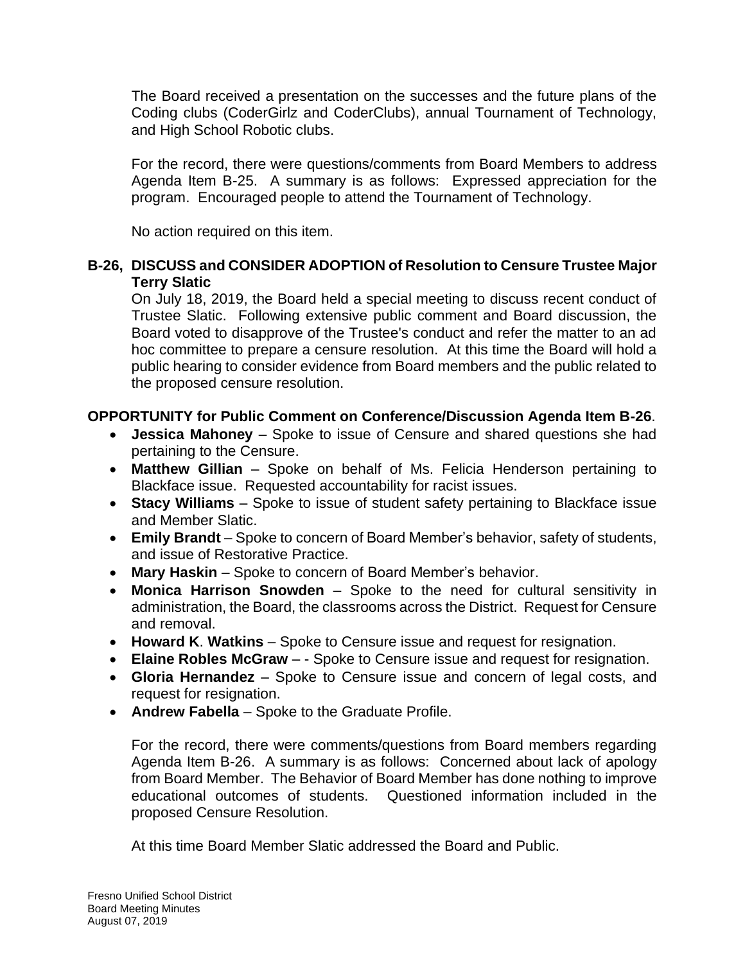The Board received a presentation on the successes and the future plans of the Coding clubs (CoderGirlz and CoderClubs), annual Tournament of Technology, and High School Robotic clubs.

For the record, there were questions/comments from Board Members to address Agenda Item B-25. A summary is as follows: Expressed appreciation for the program. Encouraged people to attend the Tournament of Technology.

No action required on this item.

### **B-26, DISCUSS and CONSIDER ADOPTION of Resolution to Censure Trustee Major Terry Slatic**

On July 18, 2019, the Board held a special meeting to discuss recent conduct of Trustee Slatic. Following extensive public comment and Board discussion, the Board voted to disapprove of the Trustee's conduct and refer the matter to an ad hoc committee to prepare a censure resolution. At this time the Board will hold a public hearing to consider evidence from Board members and the public related to the proposed censure resolution.

# **OPPORTUNITY for Public Comment on Conference/Discussion Agenda Item B-26**.

- **Jessica Mahoney** Spoke to issue of Censure and shared questions she had pertaining to the Censure.
- **Matthew Gillian** Spoke on behalf of Ms. Felicia Henderson pertaining to Blackface issue. Requested accountability for racist issues.
- **Stacy Williams** Spoke to issue of student safety pertaining to Blackface issue and Member Slatic.
- **Emily Brandt** Spoke to concern of Board Member's behavior, safety of students, and issue of Restorative Practice.
- **Mary Haskin**  Spoke to concern of Board Member's behavior.
- **Monica Harrison Snowden**  Spoke to the need for cultural sensitivity in administration, the Board, the classrooms across the District. Request for Censure and removal.
- **Howard K**. **Watkins** Spoke to Censure issue and request for resignation.
- **Elaine Robles McGraw**  - Spoke to Censure issue and request for resignation.
- **Gloria Hernandez**  Spoke to Censure issue and concern of legal costs, and request for resignation.
- **Andrew Fabella**  Spoke to the Graduate Profile.

For the record, there were comments/questions from Board members regarding Agenda Item B-26. A summary is as follows: Concerned about lack of apology from Board Member. The Behavior of Board Member has done nothing to improve educational outcomes of students. Questioned information included in the proposed Censure Resolution.

At this time Board Member Slatic addressed the Board and Public.